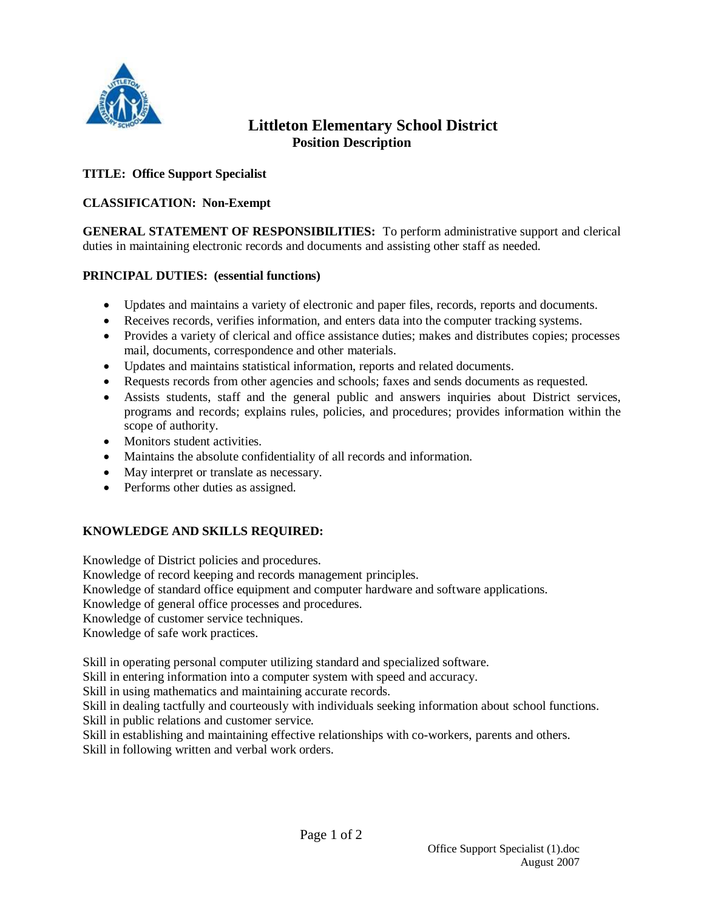

# **Littleton Elementary School District Position Description**

## **TITLE: Office Support Specialist**

### **CLASSIFICATION: Non-Exempt**

**GENERAL STATEMENT OF RESPONSIBILITIES:** To perform administrative support and clerical duties in maintaining electronic records and documents and assisting other staff as needed.

#### **PRINCIPAL DUTIES: (essential functions)**

- Updates and maintains a variety of electronic and paper files, records, reports and documents.
- Receives records, verifies information, and enters data into the computer tracking systems.
- Provides a variety of clerical and office assistance duties; makes and distributes copies; processes mail, documents, correspondence and other materials.
- Updates and maintains statistical information, reports and related documents.
- Requests records from other agencies and schools; faxes and sends documents as requested.
- Assists students, staff and the general public and answers inquiries about District services, programs and records; explains rules, policies, and procedures; provides information within the scope of authority.
- Monitors student activities.
- Maintains the absolute confidentiality of all records and information.
- May interpret or translate as necessary.
- Performs other duties as assigned.

# **KNOWLEDGE AND SKILLS REQUIRED:**

Knowledge of District policies and procedures. Knowledge of record keeping and records management principles. Knowledge of standard office equipment and computer hardware and software applications. Knowledge of general office processes and procedures. Knowledge of customer service techniques. Knowledge of safe work practices.

Skill in operating personal computer utilizing standard and specialized software.

Skill in entering information into a computer system with speed and accuracy.

Skill in using mathematics and maintaining accurate records.

Skill in dealing tactfully and courteously with individuals seeking information about school functions. Skill in public relations and customer service.

Skill in establishing and maintaining effective relationships with co-workers, parents and others. Skill in following written and verbal work orders.